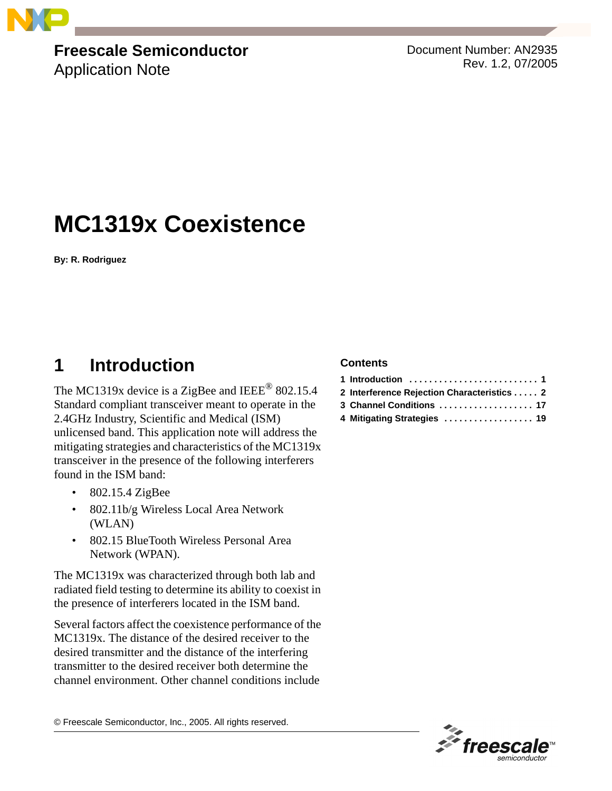

## **Freescale Semiconductor**

Application Note

Document Number: AN2935 Rev. 1.2, 07/2005

# **MC1319x Coexistence**

**By: R. Rodriguez**

## <span id="page-0-0"></span>**1 Introduction**

The MC1319x device is a ZigBee and IEEE<sup>®</sup> 802.15.4 Standard compliant transceiver meant to operate in the 2.4GHz Industry, Scientific and Medical (ISM) unlicensed band. This application note will address the mitigating strategies and characteristics of the MC1319x transceiver in the presence of the following interferers found in the ISM band:

- 802.15.4 ZigBee
- 802.11b/g Wireless Local Area Network (WLAN)
- 802.15 BlueTooth Wireless Personal Area Network (WPAN).

The MC1319x was characterized through both lab and radiated field testing to determine its ability to coexist in the presence of interferers located in the ISM band.

Several factors affect the coexistence performance of the MC1319x. The distance of the desired receiver to the desired transmitter and the distance of the interfering transmitter to the desired receiver both determine the channel environment. Other channel conditions include

© Freescale Semiconductor, Inc., 2005. All rights reserved.

#### **Contents**

| 2 Interference Rejection Characteristics 2 |
|--------------------------------------------|
| 3 Channel Conditions  17                   |
| 4 Mitigating Strategies  19                |

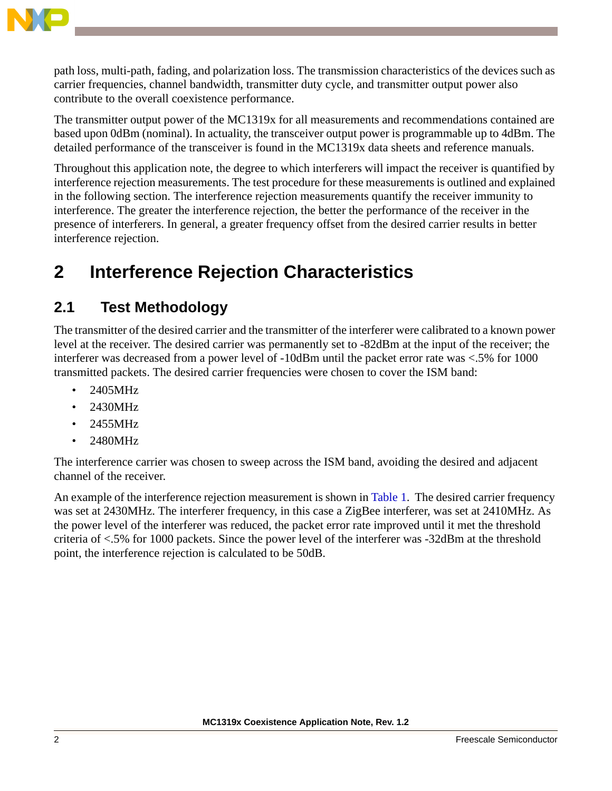

path loss, multi-path, fading, and polarization loss. The transmission characteristics of the devices such as carrier frequencies, channel bandwidth, transmitter duty cycle, and transmitter output power also contribute to the overall coexistence performance.

The transmitter output power of the MC1319x for all measurements and recommendations contained are based upon 0dBm (nominal). In actuality, the transceiver output power is programmable up to 4dBm. The detailed performance of the transceiver is found in the MC1319x data sheets and reference manuals.

Throughout this application note, the degree to which interferers will impact the receiver is quantified by interference rejection measurements. The test procedure for these measurements is outlined and explained in the following section. The interference rejection measurements quantify the receiver immunity to interference. The greater the interference rejection, the better the performance of the receiver in the presence of interferers. In general, a greater frequency offset from the desired carrier results in better interference rejection.

## <span id="page-1-0"></span>**2 Interference Rejection Characteristics**

### <span id="page-1-1"></span>**2.1 Test Methodology**

The transmitter of the desired carrier and the transmitter of the interferer were calibrated to a known power level at the receiver. The desired carrier was permanently set to -82dBm at the input of the receiver; the interferer was decreased from a power level of -10dBm until the packet error rate was <.5% for 1000 transmitted packets. The desired carrier frequencies were chosen to cover the ISM band:

- 2405MHz
- 2430MHz
- 2455MHz
- 2480MHz

The interference carrier was chosen to sweep across the ISM band, avoiding the desired and adjacent channel of the receiver.

An example of the interference rejection measurement is shown in Table 1. The desired carrier frequency was set at 2430MHz. The interferer frequency, in this case a ZigBee interferer, was set at 2410MHz. As the power level of the interferer was reduced, the packet error rate improved until it met the threshold criteria of <.5% for 1000 packets. Since the power level of the interferer was -32dBm at the threshold point, the interference rejection is calculated to be 50dB.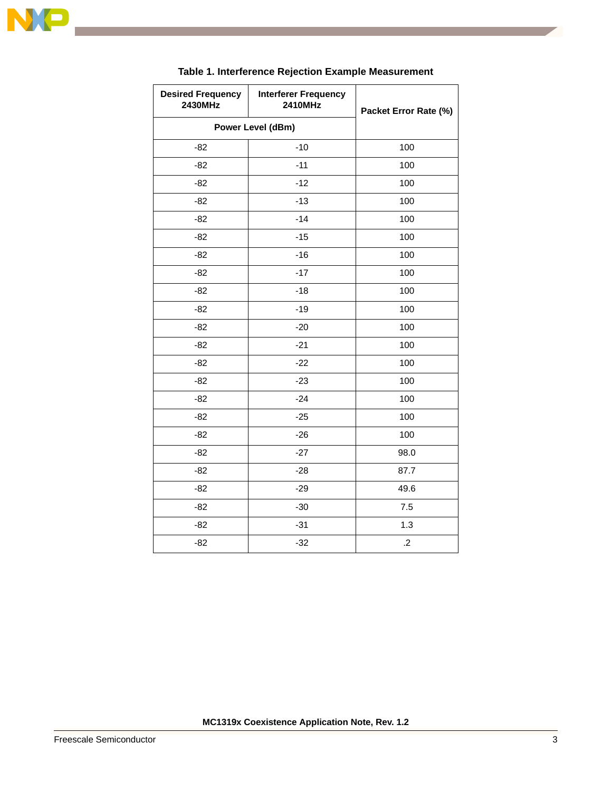

 $\overline{\phantom{a}}$ 

| <b>Desired Frequency</b><br>2430MHz | <b>Interferer Frequency</b><br>2410MHz | Packet Error Rate (%) |
|-------------------------------------|----------------------------------------|-----------------------|
| Power Level (dBm)                   |                                        |                       |
| $-82$                               | $-10$                                  | 100                   |
| $-82$                               | $-11$                                  | 100                   |
| $-82$                               | $-12$                                  | 100                   |
| $-82$                               | $-13$                                  | 100                   |
| $-82$                               | $-14$                                  | 100                   |
| $-82$                               | $-15$                                  | 100                   |
| $-82$                               | $-16$                                  | 100                   |
| $-82$                               | $-17$                                  | 100                   |
| $-82$                               | $-18$                                  | 100                   |
| $-82$                               | $-19$                                  | 100                   |
| $-82$                               | $-20$                                  | 100                   |
| $-82$                               | $-21$                                  | 100                   |
| $-82$                               | $-22$                                  | 100                   |
| $-82$                               | $-23$                                  | 100                   |
| $-82$                               | $-24$                                  | 100                   |
| $-82$                               | $-25$                                  | 100                   |
| $-82$                               | $-26$                                  | 100                   |
| $-82$                               | $-27$                                  | 98.0                  |
| $-82$                               | $-28$                                  | 87.7                  |
| $-82$                               | $-29$                                  | 49.6                  |
| $-82$                               | $-30$                                  | $7.5\,$               |
| $-82$                               | $-31$                                  | 1.3                   |
| $-82$                               | $-32$                                  | $\cdot$               |

#### **Table 1. Interference Rejection Example Measurement**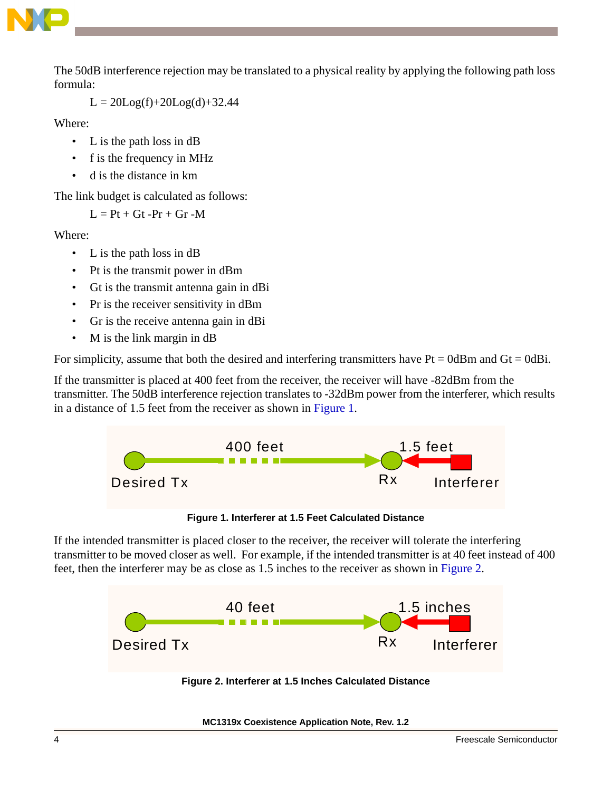

The 50dB interference rejection may be translated to a physical reality by applying the following path loss formula:

 $L = 20Log(f) + 20Log(d) + 32.44$ 

Where:

- L is the path loss in dB
- f is the frequency in MHz
- d is the distance in km

The link budget is calculated as follows:

 $L = Pt + Gt - Pr + Gr - M$ 

Where:

- L is the path loss in dB
- Pt is the transmit power in dBm
- Gt is the transmit antenna gain in dBi
- Pr is the receiver sensitivity in dBm
- Gr is the receive antenna gain in dBi
- M is the link margin in dB

For simplicity, assume that both the desired and interfering transmitters have  $Pt = 0dBm$  and  $Gt = 0dBi$ .

If the transmitter is placed at 400 feet from the receiver, the receiver will have -82dBm from the transmitter. The 50dB interference rejection translates to -32dBm power from the interferer, which results in a distance of 1.5 feet from the receiver as shown in [Figure 1](#page-3-0).





<span id="page-3-0"></span>If the intended transmitter is placed closer to the receiver, the receiver will tolerate the interfering transmitter to be moved closer as well. For example, if the intended transmitter is at 40 feet instead of 400 feet, then the interferer may be as close as 1.5 inches to the receiver as shown in [Figure 2.](#page-3-1)

<span id="page-3-1"></span>

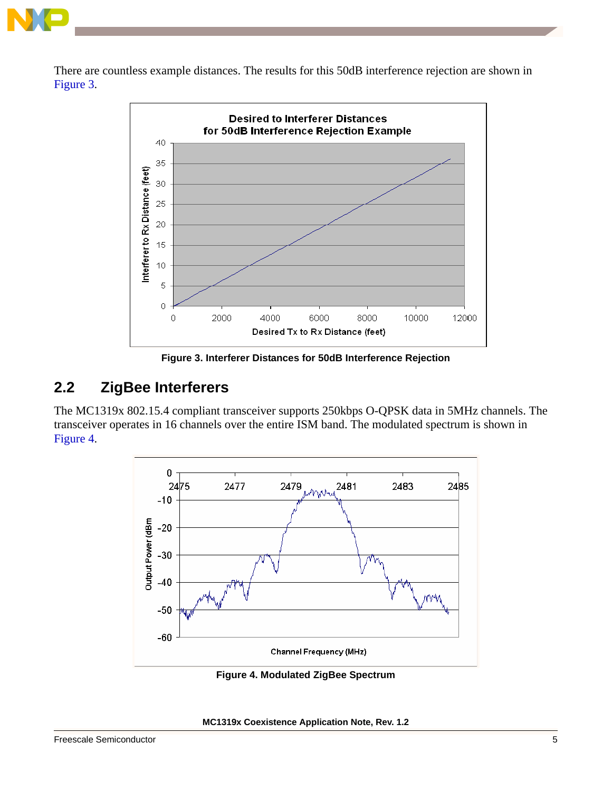

There are countless example distances. The results for this 50dB interference rejection are shown in [Figure 3](#page-4-1).



**Figure 3. Interferer Distances for 50dB Interference Rejection**

### <span id="page-4-1"></span>**2.2 ZigBee Interferers**

The MC1319x 802.15.4 compliant transceiver supports 250kbps O-QPSK data in 5MHz channels. The transceiver operates in 16 channels over the entire ISM band. The modulated spectrum is shown in [Figure 4](#page-4-0).



**Figure 4. Modulated ZigBee Spectrum**

<span id="page-4-0"></span>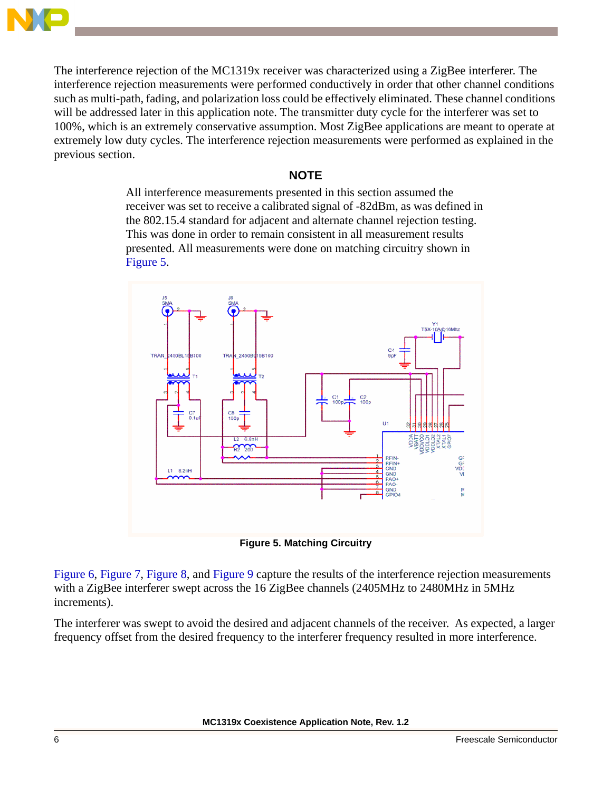

The interference rejection of the MC1319x receiver was characterized using a ZigBee interferer. The interference rejection measurements were performed conductively in order that other channel conditions such as multi-path, fading, and polarization loss could be effectively eliminated. These channel conditions will be addressed later in this application note. The transmitter duty cycle for the interferer was set to 100%, which is an extremely conservative assumption. Most ZigBee applications are meant to operate at extremely low duty cycles. The interference rejection measurements were performed as explained in the previous section.

#### **NOTE**

All interference measurements presented in this section assumed the receiver was set to receive a calibrated signal of -82dBm, as was defined in the 802.15.4 standard for adjacent and alternate channel rejection testing. This was done in order to remain consistent in all measurement results presented. All measurements were done on matching circuitry shown in [Figure 5](#page-5-0).





<span id="page-5-0"></span>[Figure 6](#page-6-0), [Figure 7,](#page-6-1) [Figure 8,](#page-7-1) and [Figure 9](#page-7-0) capture the results of the interference rejection measurements with a ZigBee interferer swept across the 16 ZigBee channels (2405MHz to 2480MHz in 5MHz increments).

The interferer was swept to avoid the desired and adjacent channels of the receiver. As expected, a larger frequency offset from the desired frequency to the interferer frequency resulted in more interference.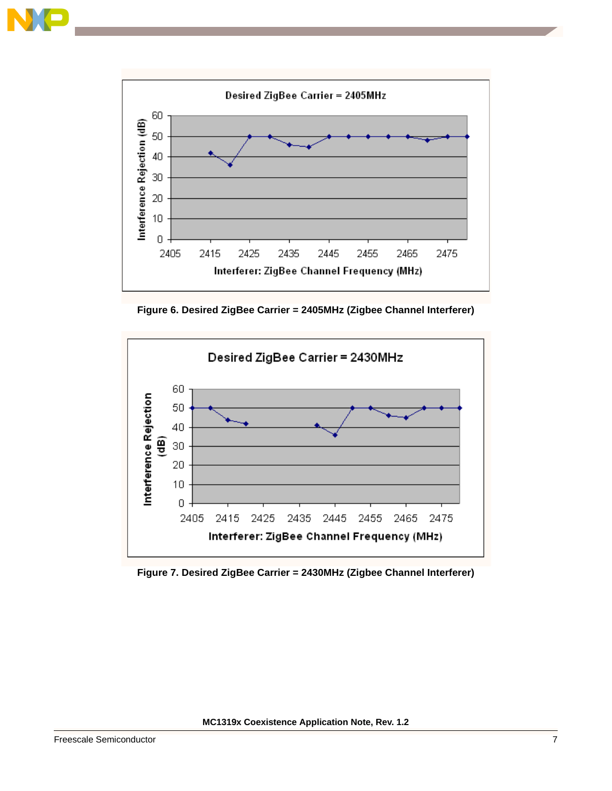



**Figure 6. Desired ZigBee Carrier = 2405MHz (Zigbee Channel Interferer)**

<span id="page-6-0"></span>

<span id="page-6-1"></span>**Figure 7. Desired ZigBee Carrier = 2430MHz (Zigbee Channel Interferer)**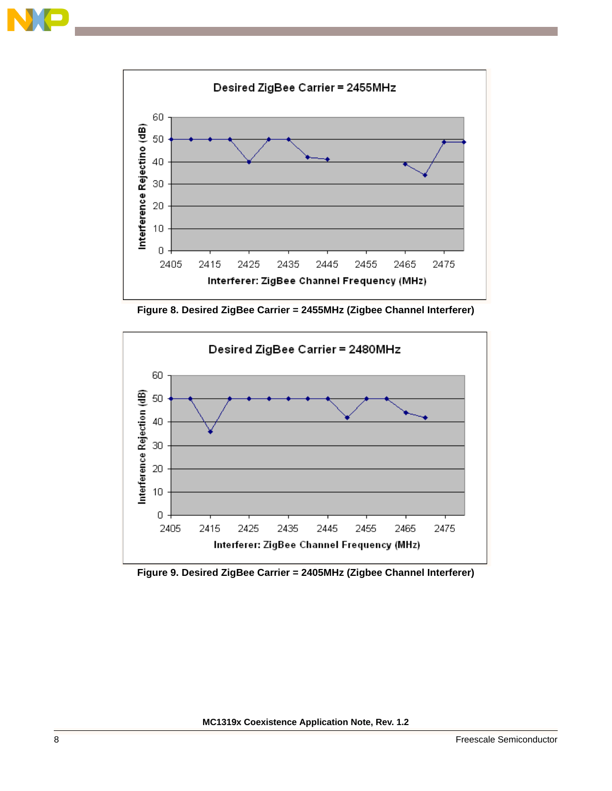



**Figure 8. Desired ZigBee Carrier = 2455MHz (Zigbee Channel Interferer)**

<span id="page-7-1"></span>

<span id="page-7-0"></span>**Figure 9. Desired ZigBee Carrier = 2405MHz (Zigbee Channel Interferer)**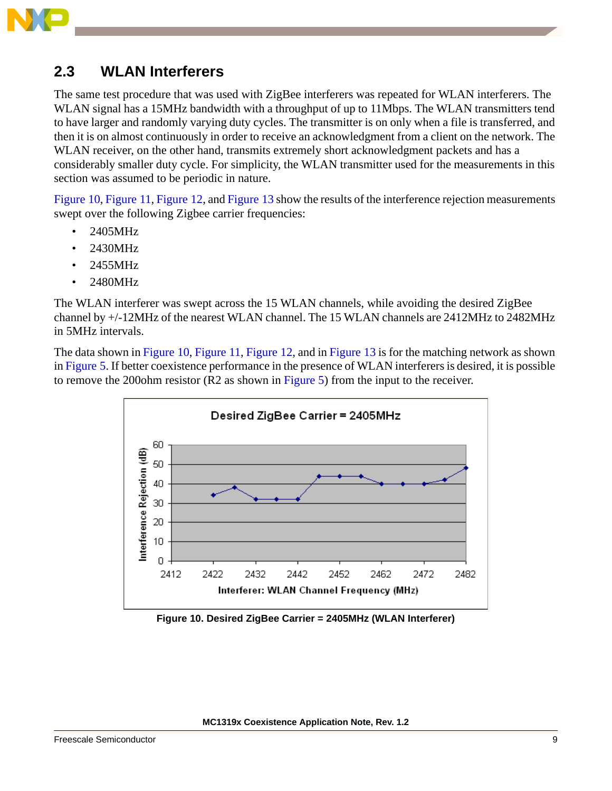

### **2.3 WLAN Interferers**

The same test procedure that was used with ZigBee interferers was repeated for WLAN interferers. The WLAN signal has a 15MHz bandwidth with a throughput of up to 11Mbps. The WLAN transmitters tend to have larger and randomly varying duty cycles. The transmitter is on only when a file is transferred, and then it is on almost continuously in order to receive an acknowledgment from a client on the network. The WLAN receiver, on the other hand, transmits extremely short acknowledgment packets and has a considerably smaller duty cycle. For simplicity, the WLAN transmitter used for the measurements in this section was assumed to be periodic in nature.

[Figure 10](#page-8-0), [Figure 11](#page-9-0), [Figure 12,](#page-9-1) and [Figure 13](#page-10-0) show the results of the interference rejection measurements swept over the following Zigbee carrier frequencies:

- 2405MHz
- 2430MHz
- 2455MHz
- 2480MHz

The WLAN interferer was swept across the 15 WLAN channels, while avoiding the desired ZigBee channel by +/-12MHz of the nearest WLAN channel. The 15 WLAN channels are 2412MHz to 2482MHz in 5MHz intervals.

The data shown in [Figure 10,](#page-8-0) [Figure 11,](#page-9-0) [Figure 12,](#page-9-1) and in [Figure 13](#page-10-0) is for the matching network as shown in [Figure 5.](#page-5-0) If better coexistence performance in the presence of WLAN interferers is desired, it is possible to remove the 200ohm resistor (R2 as shown in [Figure 5](#page-5-0)) from the input to the receiver.



<span id="page-8-0"></span>**Figure 10. Desired ZigBee Carrier = 2405MHz (WLAN Interferer)**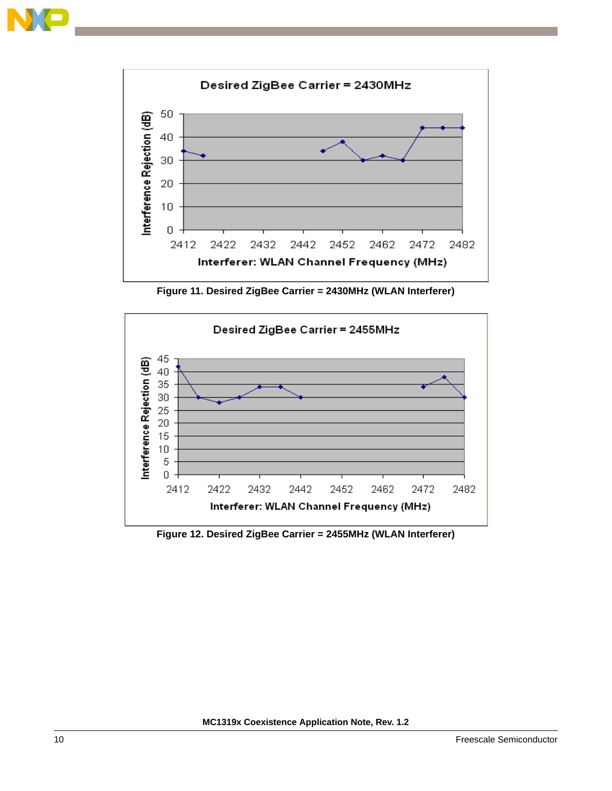



**Figure 11. Desired ZigBee Carrier = 2430MHz (WLAN Interferer)**

<span id="page-9-0"></span>

<span id="page-9-1"></span>**Figure 12. Desired ZigBee Carrier = 2455MHz (WLAN Interferer)**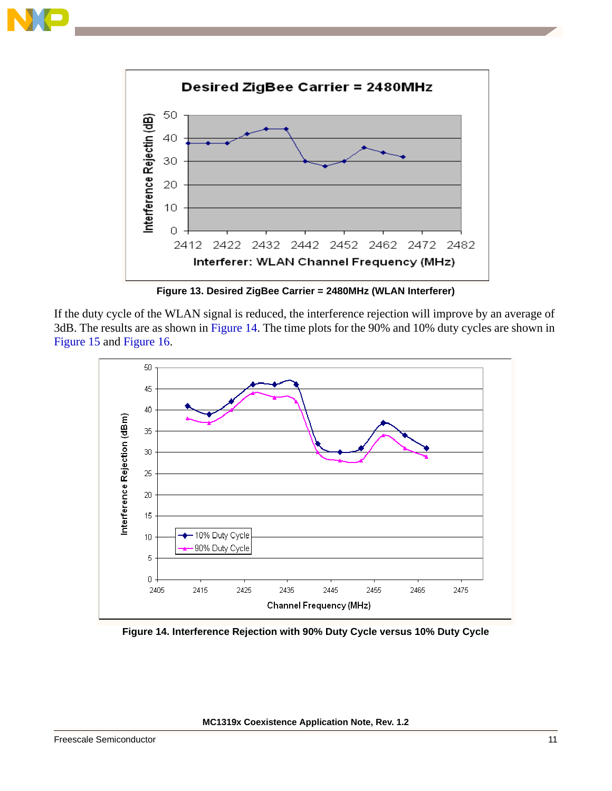



**Figure 13. Desired ZigBee Carrier = 2480MHz (WLAN Interferer)**

<span id="page-10-0"></span>If the duty cycle of the WLAN signal is reduced, the interference rejection will improve by an average of 3dB. The results are as shown in [Figure 14](#page-10-1). The time plots for the 90% and 10% duty cycles are shown in [Figure 15](#page-11-0) and [Figure 16.](#page-11-1)



<span id="page-10-1"></span>**Figure 14. Interference Rejection with 90% Duty Cycle versus 10% Duty Cycle**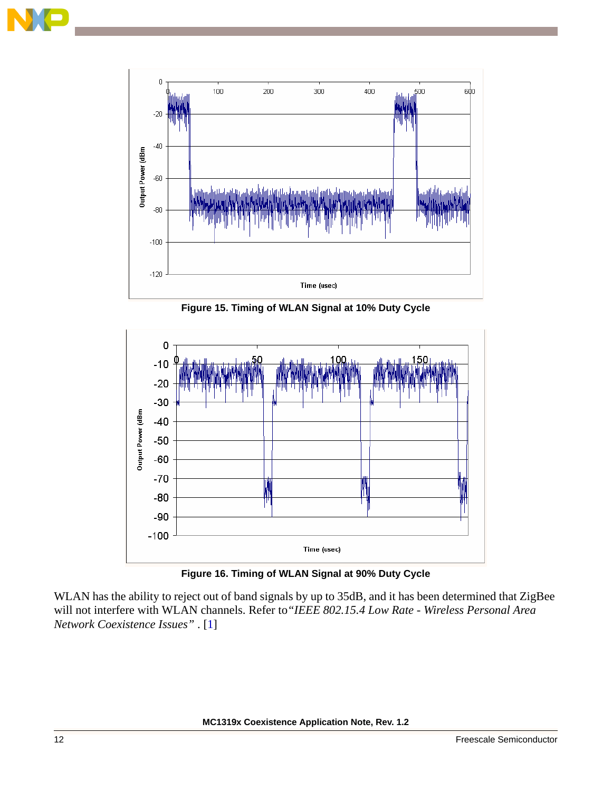



**Figure 15. Timing of WLAN Signal at 10% Duty Cycle**

<span id="page-11-0"></span>

**Figure 16. Timing of WLAN Signal at 90% Duty Cycle**

<span id="page-11-1"></span>WLAN has the ability to reject out of band signals by up to 35dB, and it has been determined that ZigBee will not interfere with WLAN channels. Refer to*"IEEE 802.15.4 Low Rate - Wireless Personal Area Network Coexistence Issues"* . [[1\]](#page-17-1)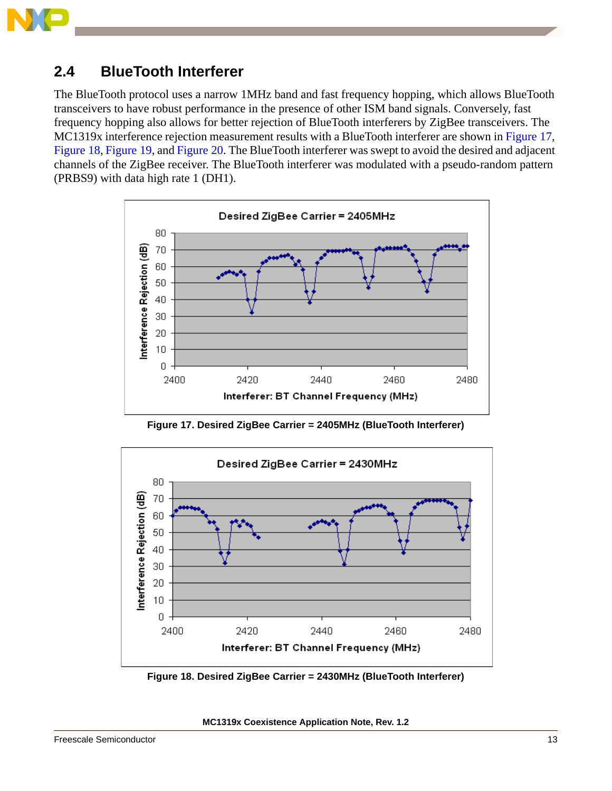

### **2.4 BlueTooth Interferer**

The BlueTooth protocol uses a narrow 1MHz band and fast frequency hopping, which allows BlueTooth transceivers to have robust performance in the presence of other ISM band signals. Conversely, fast frequency hopping also allows for better rejection of BlueTooth interferers by ZigBee transceivers. The MC1319x interference rejection measurement results with a BlueTooth interferer are shown in [Figure 17](#page-12-0), [Figure 18](#page-12-1), [Figure 19,](#page-13-0) and [Figure 20](#page-13-1). The BlueTooth interferer was swept to avoid the desired and adjacent channels of the ZigBee receiver. The BlueTooth interferer was modulated with a pseudo-random pattern (PRBS9) with data high rate 1 (DH1).



**Figure 17. Desired ZigBee Carrier = 2405MHz (BlueTooth Interferer)**

<span id="page-12-0"></span>

<span id="page-12-1"></span>**Figure 18. Desired ZigBee Carrier = 2430MHz (BlueTooth Interferer)**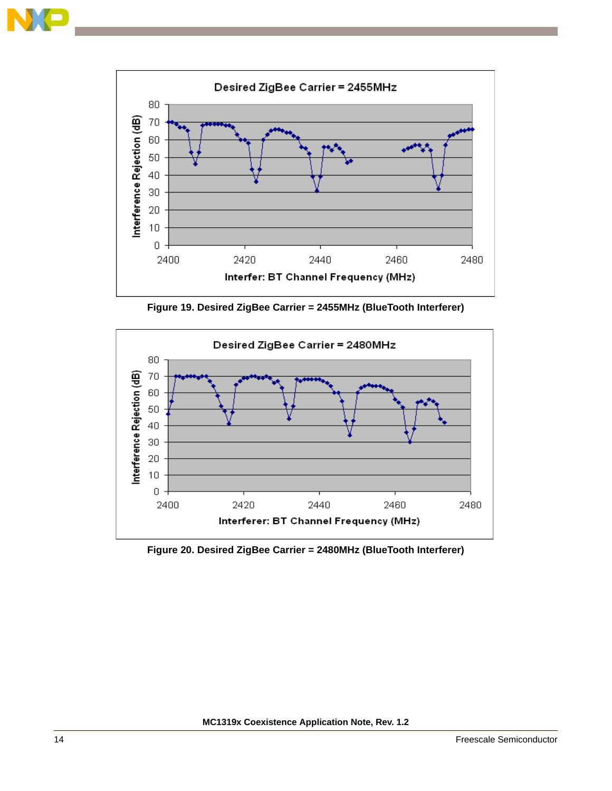



**Figure 19. Desired ZigBee Carrier = 2455MHz (BlueTooth Interferer)**

<span id="page-13-0"></span>

<span id="page-13-1"></span>**Figure 20. Desired ZigBee Carrier = 2480MHz (BlueTooth Interferer)**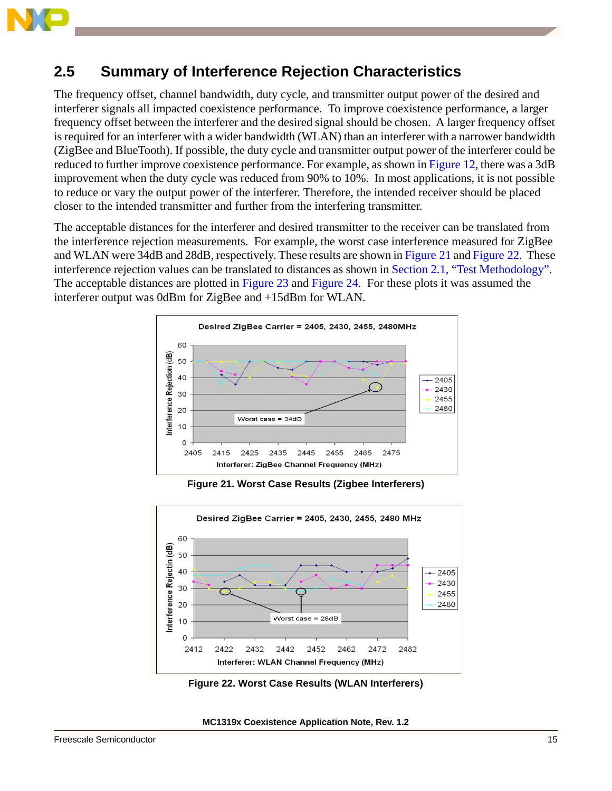

### **2.5 Summary of Interference Rejection Characteristics**

The frequency offset, channel bandwidth, duty cycle, and transmitter output power of the desired and interferer signals all impacted coexistence performance. To improve coexistence performance, a larger frequency offset between the interferer and the desired signal should be chosen. A larger frequency offset is required for an interferer with a wider bandwidth (WLAN) than an interferer with a narrower bandwidth (ZigBee and BlueTooth). If possible, the duty cycle and transmitter output power of the interferer could be reduced to further improve coexistence performance. For example, as shown in [Figure 12,](#page-9-1) there was a 3dB improvement when the duty cycle was reduced from 90% to 10%. In most applications, it is not possible to reduce or vary the output power of the interferer. Therefore, the intended receiver should be placed closer to the intended transmitter and further from the interfering transmitter.

The acceptable distances for the interferer and desired transmitter to the receiver can be translated from the interference rejection measurements. For example, the worst case interference measured for ZigBee and WLAN were 34dB and 28dB, respectively. These results are shown in [Figure 21](#page-14-0) and [Figure 22.](#page-14-1) These interference rejection values can be translated to distances as shown in [Section 2.1, "Test Methodology".](#page-1-1) The acceptable distances are plotted in [Figure 23](#page-15-0) and [Figure 24](#page-15-1). For these plots it was assumed the interferer output was 0dBm for ZigBee and +15dBm for WLAN.



**Figure 21. Worst Case Results (Zigbee Interferers)**

<span id="page-14-0"></span>

<span id="page-14-1"></span>**Figure 22. Worst Case Results (WLAN Interferers)**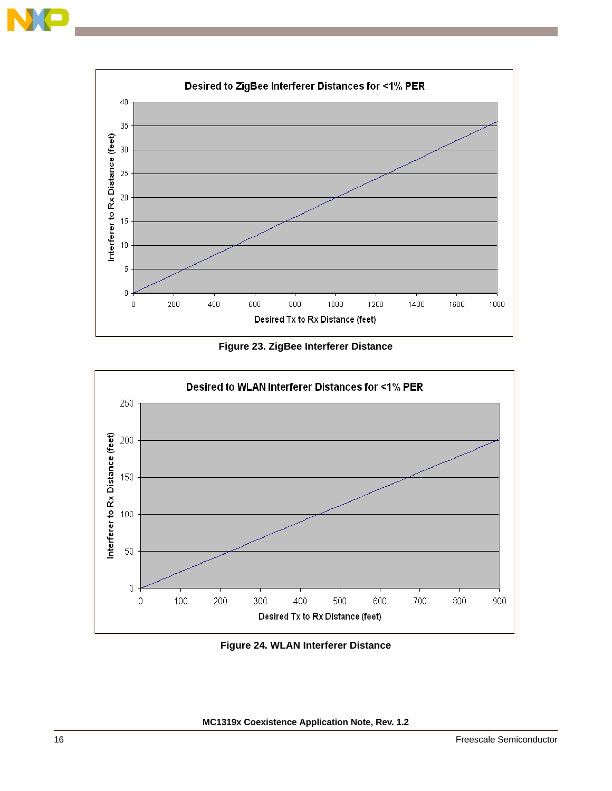



**Figure 23. ZigBee Interferer Distance**

<span id="page-15-0"></span>

<span id="page-15-1"></span>**Figure 24. WLAN Interferer Distance**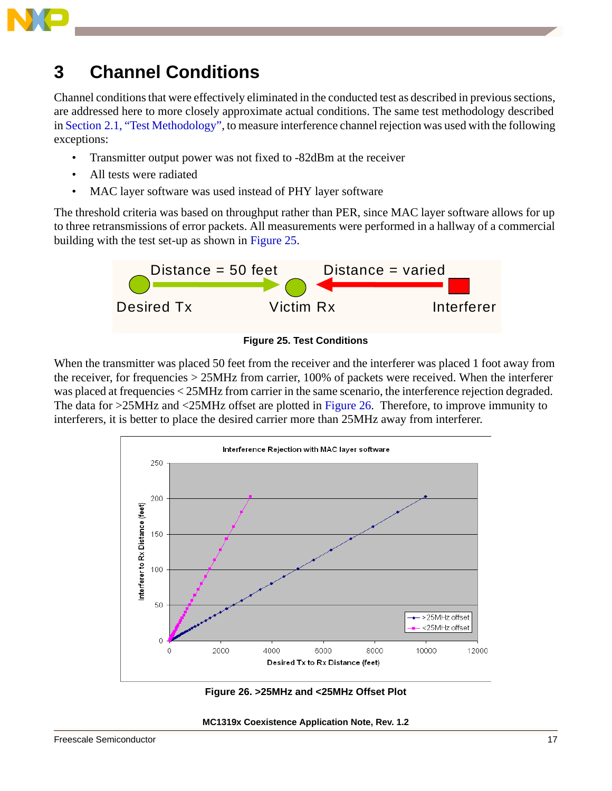

## <span id="page-16-0"></span>**3 Channel Conditions**

Channel conditions that were effectively eliminated in the conducted test as described in previous sections, are addressed here to more closely approximate actual conditions. The same test methodology described in [Section 2.1, "Test Methodology",](#page-1-1) to measure interference channel rejection was used with the following exceptions:

- Transmitter output power was not fixed to -82dBm at the receiver
- All tests were radiated
- MAC layer software was used instead of PHY layer software

The threshold criteria was based on throughput rather than PER, since MAC layer software allows for up to three retransmissions of error packets. All measurements were performed in a hallway of a commercial building with the test set-up as shown in [Figure 25.](#page-16-2)



**Figure 25. Test Conditions**

<span id="page-16-2"></span>When the transmitter was placed 50 feet from the receiver and the interferer was placed 1 foot away from the receiver, for frequencies > 25MHz from carrier, 100% of packets were received. When the interferer was placed at frequencies < 25MHz from carrier in the same scenario, the interference rejection degraded. The data for >25MHz and <25MHz offset are plotted in [Figure 26](#page-16-1). Therefore, to improve immunity to interferers, it is better to place the desired carrier more than 25MHz away from interferer.



<span id="page-16-1"></span>**Figure 26. >25MHz and <25MHz Offset Plot**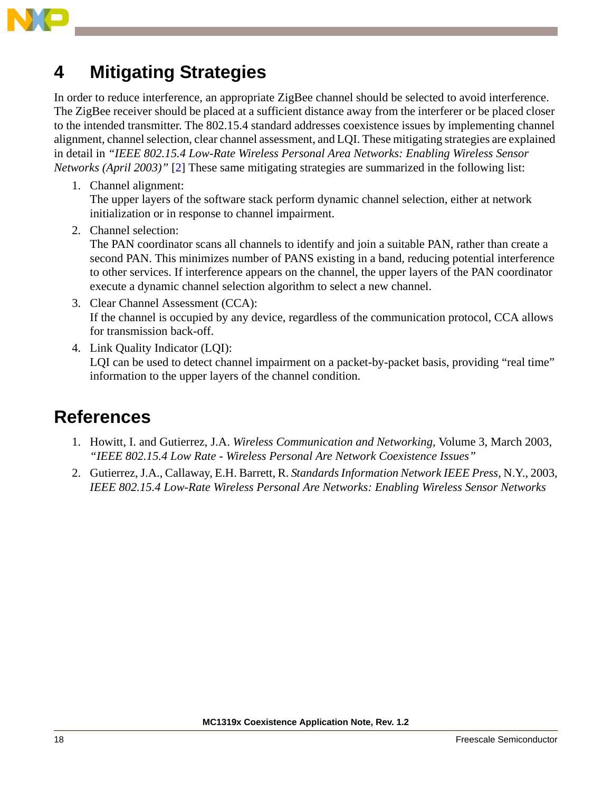

## <span id="page-17-0"></span>**4 Mitigating Strategies**

In order to reduce interference, an appropriate ZigBee channel should be selected to avoid interference. The ZigBee receiver should be placed at a sufficient distance away from the interferer or be placed closer to the intended transmitter. The 802.15.4 standard addresses coexistence issues by implementing channel alignment, channel selection, clear channel assessment, and LQI. These mitigating strategies are explained in detail in *"IEEE 802.15.4 Low-Rate Wireless Personal Area Networks: Enabling Wireless Sensor Networks (April 2003)"* [[2\]](#page-17-2) These same mitigating strategies are summarized in the following list:

1. Channel alignment:

The upper layers of the software stack perform dynamic channel selection, either at network initialization or in response to channel impairment.

2. Channel selection:

The PAN coordinator scans all channels to identify and join a suitable PAN, rather than create a second PAN. This minimizes number of PANS existing in a band, reducing potential interference to other services. If interference appears on the channel, the upper layers of the PAN coordinator execute a dynamic channel selection algorithm to select a new channel.

- 3. Clear Channel Assessment (CCA): If the channel is occupied by any device, regardless of the communication protocol, CCA allows for transmission back-off.
- 4. Link Quality Indicator (LQI): LQI can be used to detect channel impairment on a packet-by-packet basis, providing "real time" information to the upper layers of the channel condition.

## **References**

- <span id="page-17-1"></span>1. Howitt, I. and Gutierrez, J.A. *Wireless Communication and Networking*, Volume 3, March 2003, *"IEEE 802.15.4 Low Rate - Wireless Personal Are Network Coexistence Issues"*
- <span id="page-17-2"></span>2. Gutierrez, J.A., Callaway, E.H. Barrett, R. *Standards Information Network IEEE Press*, N.Y., 2003, *IEEE 802.15.4 Low-Rate Wireless Personal Are Networks: Enabling Wireless Sensor Networks*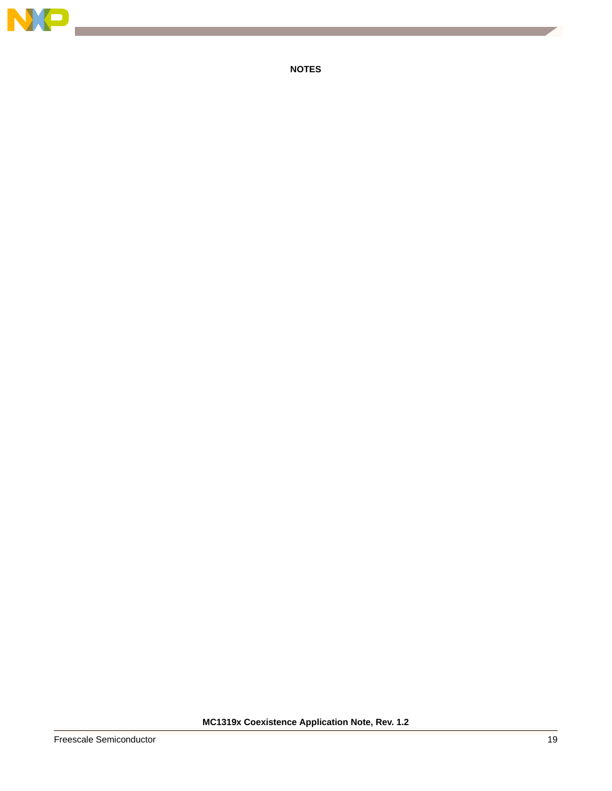

**NOTES**